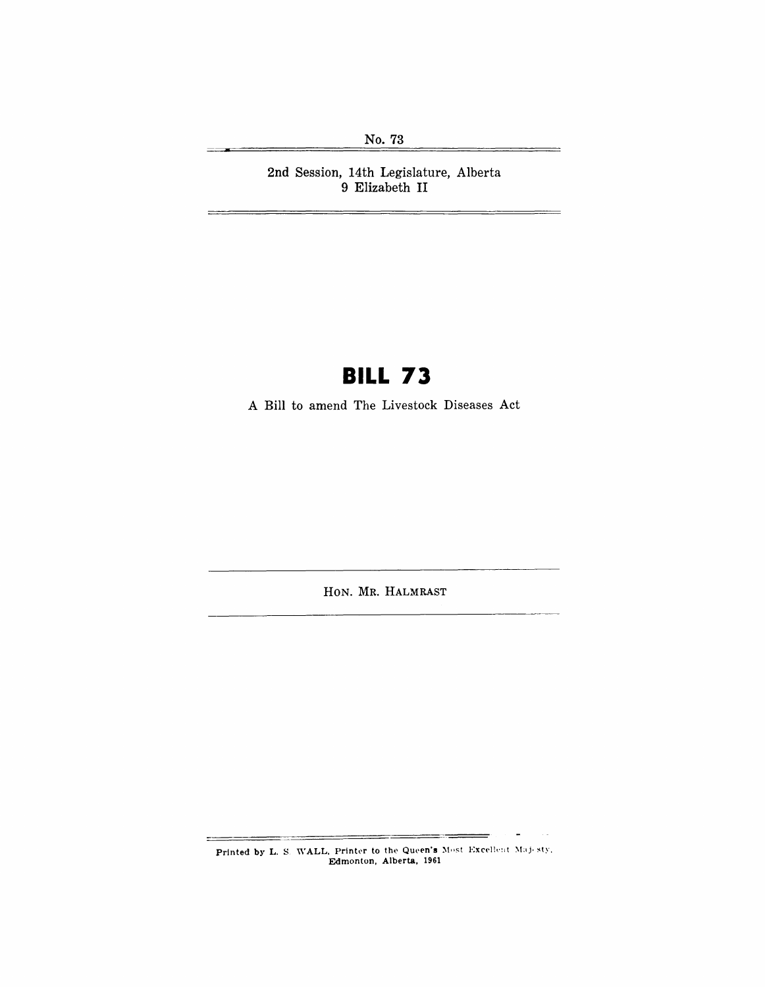No. 73

Ц,

2nd Session, 14th Legislature, Alberta 9 Elizabeth II

# **BILL 73**

A Bill to amend The Livestock Diseases Act

HON. MR. HALMRAST

Printed by L. S. WALL, Printer to the Queen's Most Excellent Majosty, Edmonton, Alberta, 1961

===

 $\blacksquare$ 

 $\sim$   $^{\prime}$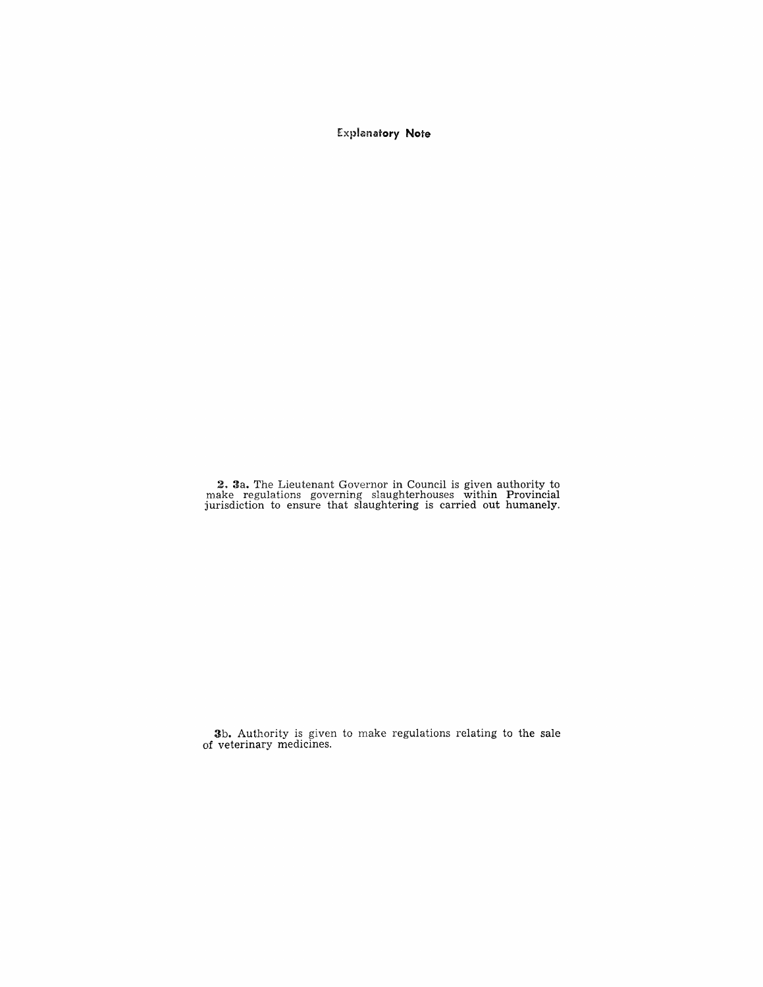Explanatory **Note** 

2. 3a. The Lieutenant Governor in Council is given authority to make regulations governing slaughterhouses within Provincial jurisdiction to ensure that slaughtering is carried out humanely.

3b. Authority is given to make regulations relating to the sale of veterinary medicines.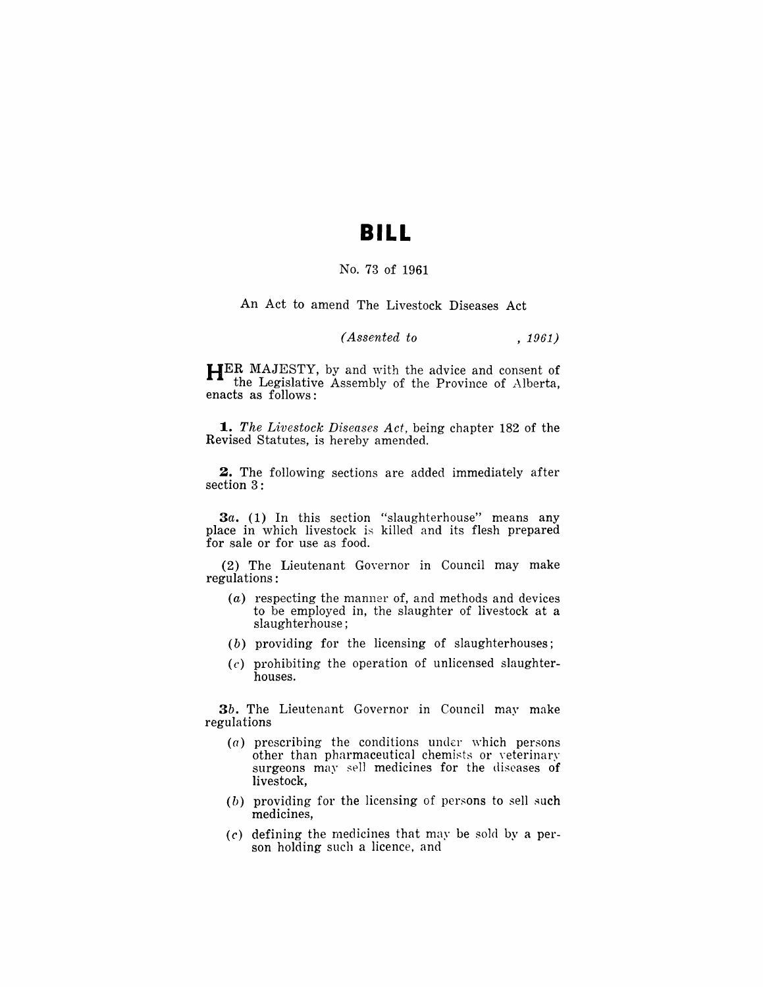### **BILL**

#### No. 73 of 1961

An Act to amend The Livestock Diseases Act

#### *(Assented to* , 1961)

**HER MAJESTY, by and with the advice and consent of** the Legislative Assembly of the Province of Alberta, enacts as follows:

*1. The Livestock Diseases Act,* being chapter 182 of the Revised Statutes, is hereby amended.

**2.** The following sections are added immediately after section 3:

*3a.* (1) In this section "slaughterhouse" means any place in which livestock is killed and its flesh prepared for sale or for use as food.

(2) The Lieutenant Governor in Council may make regulations:

- (a) respecting the manner of, and methods and devices to be employed in, the slaughter of livestock at a slaughterhouse;
- (b) providing for the licensing of slaughterhouses;
- $(c)$  prohibiting the operation of unlicensed slaughterhouses.

*3b.* The Lieutenant Governor in Council may make regulations

- $(a)$  prescribing the conditions under which persons other than pharmaceutical chemists or veterinary surgeons may sell medicines for the diseases of livestock,
- (b) providing for the lieensing of persons to sell such medicines,
- $(c)$  defining the medicines that may be sold by a person holding such a licence, and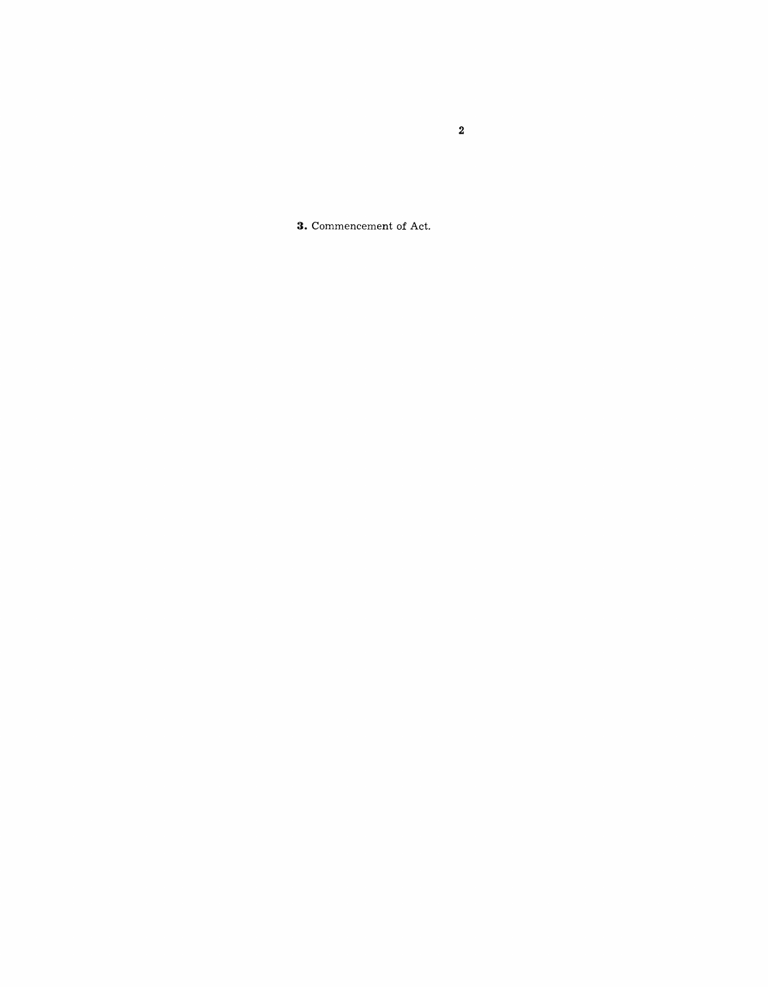**3.** Commencement of Act.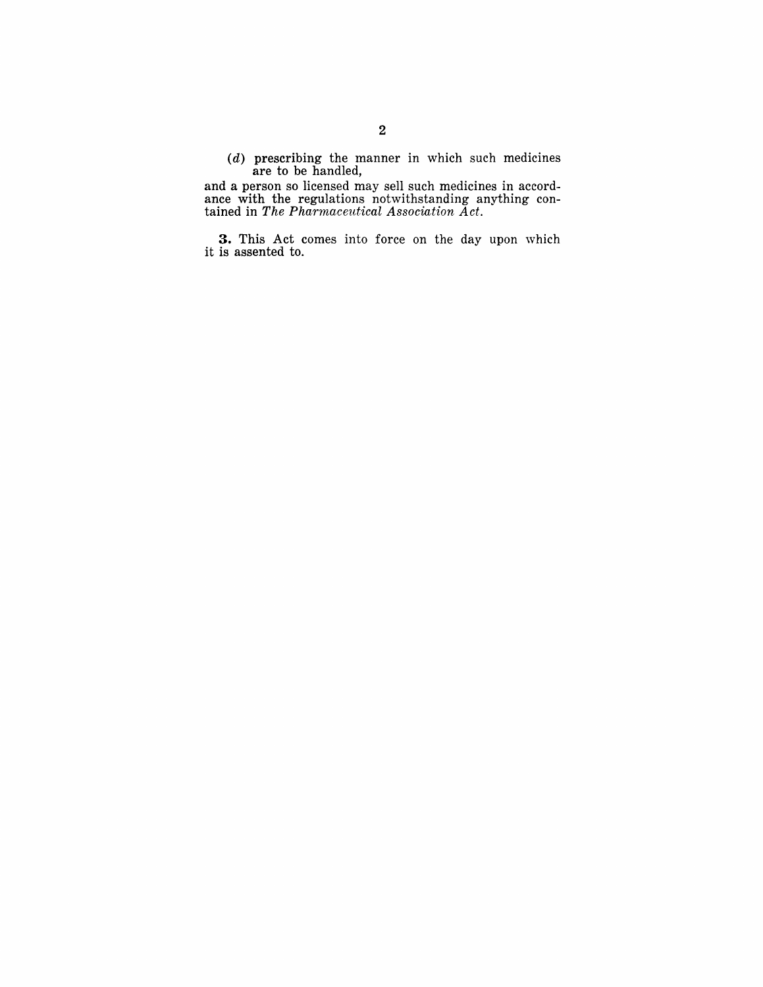(d) prescribing the manner in which such medicines are to be handled,

and a person so licensed may sell such medicines in accordance with the regulations notwithstanding anything contained in *The Pharmaceutical Association Act.* 

**3.** This Act comes into force on the day upon which it is assented to.